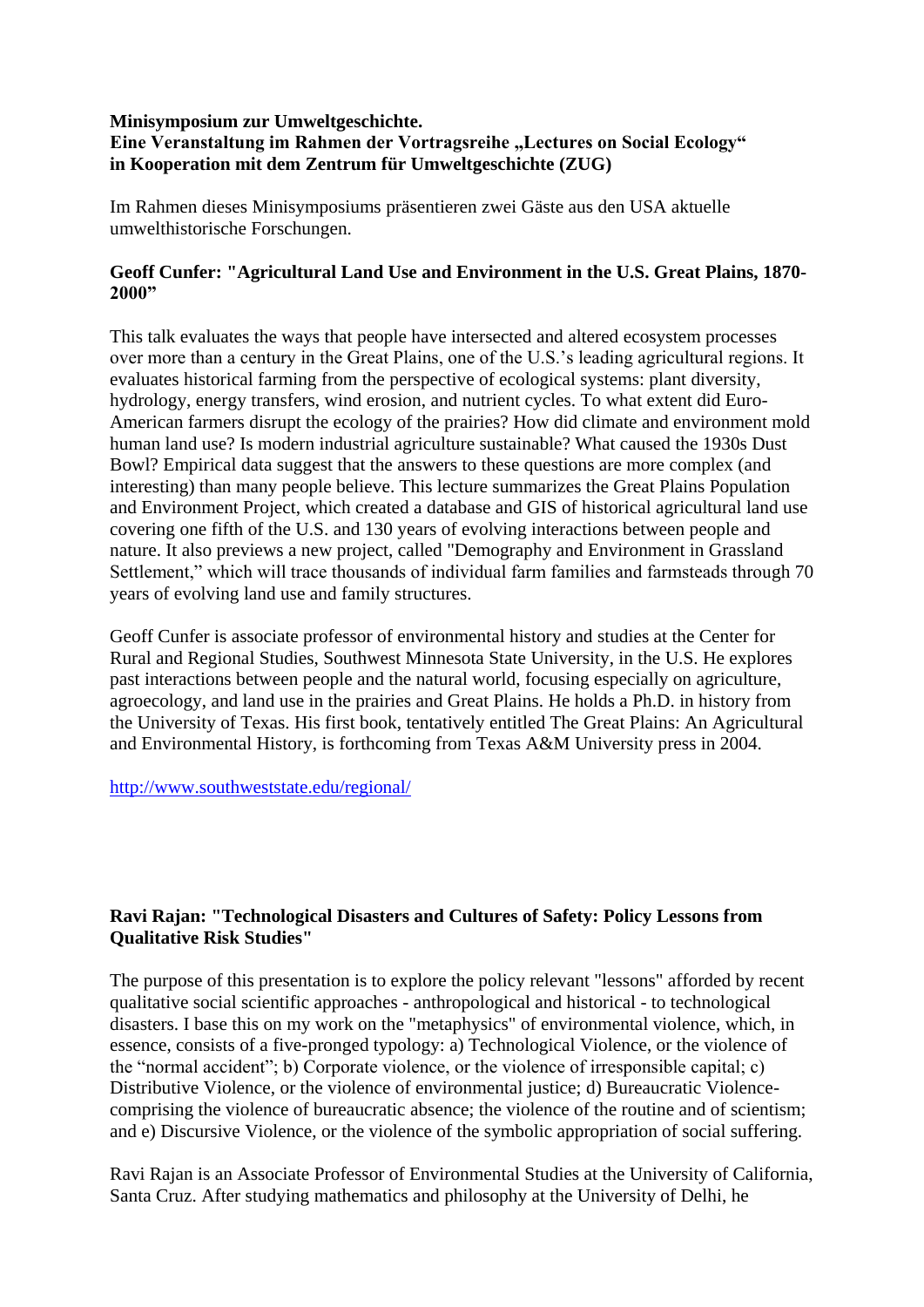## **Minisymposium zur Umweltgeschichte.**

## **Eine Veranstaltung im Rahmen der Vortragsreihe "Lectures on Social Ecology" in Kooperation mit dem Zentrum für Umweltgeschichte (ZUG)**

Im Rahmen dieses Minisymposiums präsentieren zwei Gäste aus den USA aktuelle umwelthistorische Forschungen.

## **Geoff Cunfer: "Agricultural Land Use and Environment in the U.S. Great Plains, 1870- 2000"**

This talk evaluates the ways that people have intersected and altered ecosystem processes over more than a century in the Great Plains, one of the U.S.'s leading agricultural regions. It evaluates historical farming from the perspective of ecological systems: plant diversity, hydrology, energy transfers, wind erosion, and nutrient cycles. To what extent did Euro-American farmers disrupt the ecology of the prairies? How did climate and environment mold human land use? Is modern industrial agriculture sustainable? What caused the 1930s Dust Bowl? Empirical data suggest that the answers to these questions are more complex (and interesting) than many people believe. This lecture summarizes the Great Plains Population and Environment Project, which created a database and GIS of historical agricultural land use covering one fifth of the U.S. and 130 years of evolving interactions between people and nature. It also previews a new project, called "Demography and Environment in Grassland Settlement," which will trace thousands of individual farm families and farmsteads through 70 years of evolving land use and family structures.

Geoff Cunfer is associate professor of environmental history and studies at the Center for Rural and Regional Studies, Southwest Minnesota State University, in the U.S. He explores past interactions between people and the natural world, focusing especially on agriculture, agroecology, and land use in the prairies and Great Plains. He holds a Ph.D. in history from the University of Texas. His first book, tentatively entitled The Great Plains: An Agricultural and Environmental History, is forthcoming from Texas A&M University press in 2004.

<http://www.southweststate.edu/regional/>

## **Ravi Rajan: "Technological Disasters and Cultures of Safety: Policy Lessons from Qualitative Risk Studies"**

The purpose of this presentation is to explore the policy relevant "lessons" afforded by recent qualitative social scientific approaches - anthropological and historical - to technological disasters. I base this on my work on the "metaphysics" of environmental violence, which, in essence, consists of a five-pronged typology: a) Technological Violence, or the violence of the "normal accident"; b) Corporate violence, or the violence of irresponsible capital; c) Distributive Violence, or the violence of environmental justice; d) Bureaucratic Violencecomprising the violence of bureaucratic absence; the violence of the routine and of scientism; and e) Discursive Violence, or the violence of the symbolic appropriation of social suffering.

Ravi Rajan is an Associate Professor of Environmental Studies at the University of California, Santa Cruz. After studying mathematics and philosophy at the University of Delhi, he